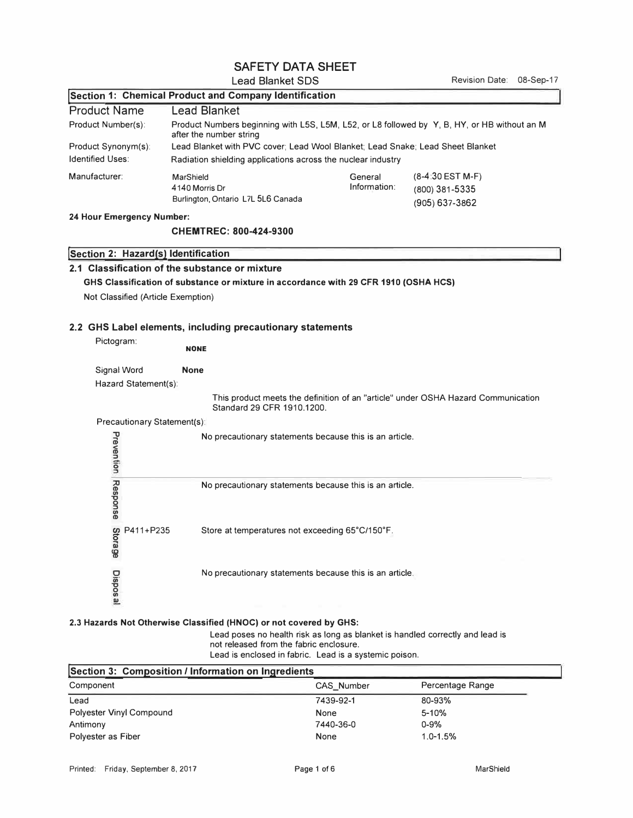# SAFETY DATA SHEET

### Lead Blanket SDS

| Section 1: Chemical Product and Company Identification |                                                                                                                         |                         |                                                            |
|--------------------------------------------------------|-------------------------------------------------------------------------------------------------------------------------|-------------------------|------------------------------------------------------------|
| <b>Product Name</b>                                    | <b>Lead Blanket</b>                                                                                                     |                         |                                                            |
| Product Number(s):                                     | Product Numbers beginning with L5S, L5M, L52, or L8 followed by Y, B, HY, or HB without an M<br>after the number string |                         |                                                            |
| Product Synonym(s):                                    | Lead Blanket with PVC cover; Lead Wool Blanket; Lead Snake; Lead Sheet Blanket                                          |                         |                                                            |
| <b>Identified Uses:</b>                                | Radiation shielding applications across the nuclear industry                                                            |                         |                                                            |
| Manufacturer:                                          | MarShield<br>4140 Morris Dr<br>Burlington, Ontario L7L 5L6 Canada                                                       | General<br>Information: | $(8-4:30$ EST M-F)<br>(800) 381-5335<br>$(905) 637 - 3862$ |

**24 Hour Emergency Number:** 

#### **CHEMTREC: 800-424-9300**

## **!section 2: Hazard(s) Identification**

## **2.1 Classification of the substance or mixture**

# **GHS Classification of substance or mixture in accordance with 29 CFR 1910 (OSHA HCS)**

Not Classified (Article Exemption)

### **2.2 GHS Label elements, including precautionary statements**

| Pictogram: |                             | <b>NONE</b>                                                                                                     |
|------------|-----------------------------|-----------------------------------------------------------------------------------------------------------------|
|            | Signal Word                 | <b>None</b>                                                                                                     |
|            | Hazard Statement(s):        |                                                                                                                 |
|            |                             | This product meets the definition of an "article" under OSHA Hazard Communication<br>Standard 29 CFR 1910.1200. |
|            | Precautionary Statement(s): |                                                                                                                 |
| Prevention |                             | No precautionary statements because this is an article.                                                         |
| Response   |                             | No precautionary statements because this is an article.                                                         |
| Storage    | P411+P235                   | Store at temperatures not exceeding 65°C/150°F.                                                                 |
| Disposa    |                             | No precautionary statements because this is an article.                                                         |

## **2.3 Hazards Not Otherwise Classified (HNOC) or not covered by GHS:**

Lead poses no health risk as long as blanket is handled correctly and lead is not released from the fabric enclosure. Lead is enclosed in fabric. Lead is a systemic poison.

| Section 3: Composition / Information on Ingredients |            |                  |  |
|-----------------------------------------------------|------------|------------------|--|
| Component                                           | CAS Number | Percentage Range |  |
| Lead                                                | 7439-92-1  | 80-93%           |  |
| <b>Polyester Vinyl Compound</b>                     | None       | $5 - 10%$        |  |
| Antimony                                            | 7440-36-0  | $0 - 9%$         |  |
| Polyester as Fiber                                  | None       | $1.0 - 1.5%$     |  |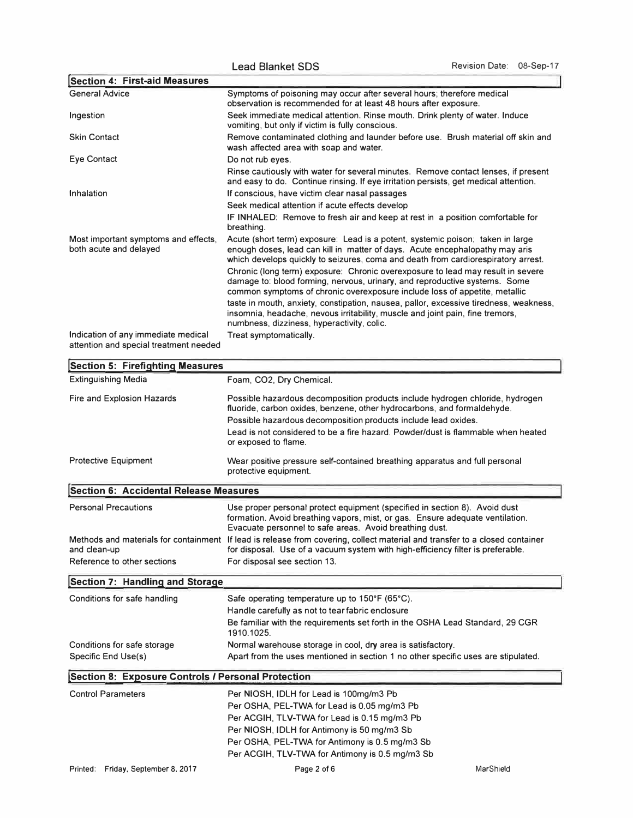| <b>Section 4: First-aid Measures</b>                                          |                                                                                                                                                                                                                                                     |
|-------------------------------------------------------------------------------|-----------------------------------------------------------------------------------------------------------------------------------------------------------------------------------------------------------------------------------------------------|
| <b>General Advice</b>                                                         | Symptoms of poisoning may occur after several hours; therefore medical<br>observation is recommended for at least 48 hours after exposure.                                                                                                          |
| Ingestion                                                                     | Seek immediate medical attention. Rinse mouth. Drink plenty of water. Induce<br>vomiting, but only if victim is fully conscious.                                                                                                                    |
| <b>Skin Contact</b>                                                           | Remove contaminated clothing and launder before use. Brush material off skin and<br>wash affected area with soap and water.                                                                                                                         |
| Eye Contact                                                                   | Do not rub eyes.                                                                                                                                                                                                                                    |
|                                                                               | Rinse cautiously with water for several minutes. Remove contact lenses, if present<br>and easy to do. Continue rinsing. If eye irritation persists, get medical attention.                                                                          |
| Inhalation                                                                    | If conscious, have victim clear nasal passages                                                                                                                                                                                                      |
|                                                                               | Seek medical attention if acute effects develop                                                                                                                                                                                                     |
|                                                                               | IF INHALED: Remove to fresh air and keep at rest in a position comfortable for<br>breathing.                                                                                                                                                        |
| Most important symptoms and effects,<br>both acute and delayed                | Acute (short term) exposure: Lead is a potent, systemic poison; taken in large<br>enough doses, lead can kill in matter of days. Acute encephalopathy may aris<br>which develops quickly to seizures, coma and death from cardiorespiratory arrest. |
|                                                                               | Chronic (long term) exposure: Chronic overexposure to lead may result in severe<br>damage to: blood forming, nervous, urinary, and reproductive systems. Some<br>common symptoms of chronic overexposure include loss of appetite, metallic         |
|                                                                               | taste in mouth, anxiety, constipation, nausea, pallor, excessive tiredness, weakness,<br>insomnia, headache, nevous irritability, muscle and joint pain, fine tremors,<br>numbness, dizziness, hyperactivity, colic.                                |
| Indication of any immediate medical<br>attention and special treatment needed | Treat symptomatically.                                                                                                                                                                                                                              |
| <b>Section 5: Firefighting Measures</b>                                       |                                                                                                                                                                                                                                                     |
| <b>Extinguishing Media</b>                                                    | Foam, CO2, Dry Chemical.                                                                                                                                                                                                                            |

| <b>Extinguishing Media</b>                         | Foam, CO2, Dry Chemical.                                                                                                                                                                                                                                                                                                               |           |  |
|----------------------------------------------------|----------------------------------------------------------------------------------------------------------------------------------------------------------------------------------------------------------------------------------------------------------------------------------------------------------------------------------------|-----------|--|
| Fire and Explosion Hazards                         | Possible hazardous decomposition products include hydrogen chloride, hydrogen<br>fluoride, carbon oxides, benzene, other hydrocarbons, and formaldehyde.<br>Possible hazardous decomposition products include lead oxides.<br>Lead is not considered to be a fire hazard. Powder/dust is flammable when heated<br>or exposed to flame. |           |  |
| <b>Protective Equipment</b>                        | Wear positive pressure self-contained breathing apparatus and full personal<br>protective equipment.                                                                                                                                                                                                                                   |           |  |
| <b>Section 6: Accidental Release Measures</b>      |                                                                                                                                                                                                                                                                                                                                        |           |  |
| <b>Personal Precautions</b>                        | Use proper personal protect equipment (specified in section 8). Avoid dust<br>formation. Avoid breathing vapors, mist, or gas. Ensure adequate ventilation.<br>Evacuate personnel to safe areas. Avoid breathing dust.                                                                                                                 |           |  |
| and clean-up                                       | Methods and materials for containment If lead is release from covering, collect material and transfer to a closed container<br>for disposal. Use of a vacuum system with high-efficiency filter is preferable.                                                                                                                         |           |  |
| Reference to other sections                        | For disposal see section 13.                                                                                                                                                                                                                                                                                                           |           |  |
| Section 7: Handling and Storage                    |                                                                                                                                                                                                                                                                                                                                        |           |  |
| Conditions for safe handling                       | Safe operating temperature up to 150°F (65°C).<br>Handle carefully as not to tear fabric enclosure<br>Be familiar with the requirements set forth in the OSHA Lead Standard, 29 CGR<br>1910.1025.                                                                                                                                      |           |  |
| Conditions for safe storage<br>Specific End Use(s) | Normal warehouse storage in cool, dry area is satisfactory.<br>Apart from the uses mentioned in section 1 no other specific uses are stipulated.                                                                                                                                                                                       |           |  |
| Section 8: Exposure Controls / Personal Protection |                                                                                                                                                                                                                                                                                                                                        |           |  |
| <b>Control Parameters</b>                          | Per NIOSH, IDLH for Lead is 100mg/m3 Pb<br>Per OSHA, PEL-TWA for Lead is 0.05 mg/m3 Pb<br>Per ACGIH, TLV-TWA for Lead is 0.15 mg/m3 Pb<br>Per NIOSH, IDLH for Antimony is 50 mg/m3 Sb<br>Per OSHA, PEL-TWA for Antimony is 0.5 mg/m3 Sb<br>Per ACGIH, TLV-TWA for Antimony is 0.5 mg/m3 Sb                                             |           |  |
| Printed: Friday, September 8, 2017                 | Page 2 of 6                                                                                                                                                                                                                                                                                                                            | MarShield |  |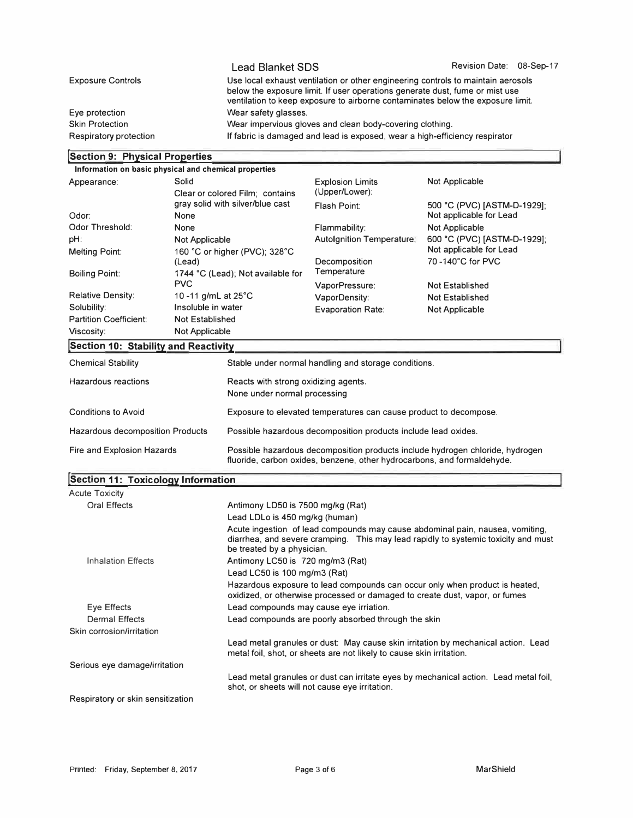|                          | <b>Lead Blanket SDS</b>                                                                                                                                                                                                                             | Revision Date: 08-Sep-17 |  |
|--------------------------|-----------------------------------------------------------------------------------------------------------------------------------------------------------------------------------------------------------------------------------------------------|--------------------------|--|
| <b>Exposure Controls</b> | Use local exhaust ventilation or other engineering controls to maintain aerosols<br>below the exposure limit. If user operations generate dust, fume or mist use<br>ventilation to keep exposure to airborne contaminates below the exposure limit. |                          |  |
| Eye protection           | Wear safety glasses.                                                                                                                                                                                                                                |                          |  |
| <b>Skin Protection</b>   | Wear impervious gloves and clean body-covering clothing.                                                                                                                                                                                            |                          |  |
| Respiratory protection   | If fabric is damaged and lead is exposed, wear a high-efficiency respirator                                                                                                                                                                         |                          |  |

# **]Section 9: Physical Properties**

| Information on basic physical and chemical properties |                                 |                                                                         |                                                                               |                             |  |
|-------------------------------------------------------|---------------------------------|-------------------------------------------------------------------------|-------------------------------------------------------------------------------|-----------------------------|--|
| Solid<br>Appearance:                                  |                                 | <b>Explosion Limits</b>                                                 | Not Applicable                                                                |                             |  |
|                                                       | Clear or colored Film; contains |                                                                         | (Upper/Lower):                                                                |                             |  |
|                                                       |                                 | gray solid with silver/blue cast                                        | Flash Point:                                                                  | 500 °C (PVC) [ASTM-D-1929]; |  |
| Odor:                                                 | None                            |                                                                         |                                                                               | Not applicable for Lead     |  |
| Odor Threshold:                                       | None                            |                                                                         | Flammability:                                                                 | <b>Not Applicable</b>       |  |
| pH:                                                   | <b>Not Applicable</b>           |                                                                         | <b>Autolgnition Temperature:</b>                                              | 600 °C (PVC) [ASTM-D-1929]; |  |
| <b>Melting Point:</b>                                 |                                 | 160 °C or higher (PVC); 328°C                                           |                                                                               | Not applicable for Lead     |  |
|                                                       | (Lead)                          |                                                                         | Decomposition                                                                 | 70-140°C for PVC            |  |
| <b>Boiling Point:</b>                                 |                                 | 1744 °C (Lead); Not available for                                       | Temperature                                                                   |                             |  |
|                                                       | <b>PVC</b>                      |                                                                         | VaporPressure:                                                                | <b>Not Established</b>      |  |
| <b>Relative Density:</b>                              | 10 -11 g/mL at 25°C             |                                                                         | VaporDensity:                                                                 | <b>Not Established</b>      |  |
| Solubility:                                           | Insoluble in water              |                                                                         | <b>Evaporation Rate:</b>                                                      | <b>Not Applicable</b>       |  |
| <b>Partition Coefficient:</b>                         | <b>Not Established</b>          |                                                                         |                                                                               |                             |  |
| Viscosity:                                            | <b>Not Applicable</b>           |                                                                         |                                                                               |                             |  |
| Section 10: Stability and Reactivity                  |                                 |                                                                         |                                                                               |                             |  |
| <b>Chemical Stability</b>                             |                                 |                                                                         | Stable under normal handling and storage conditions.                          |                             |  |
| Hazardous reactions                                   |                                 |                                                                         | Reacts with strong oxidizing agents.                                          |                             |  |
|                                                       |                                 | None under normal processing                                            |                                                                               |                             |  |
| <b>Conditions to Avoid</b>                            |                                 | Exposure to elevated temperatures can cause product to decompose.       |                                                                               |                             |  |
|                                                       |                                 |                                                                         |                                                                               |                             |  |
| <b>Hazardous decomposition Products</b>               |                                 | Possible hazardous decomposition products include lead oxides.          |                                                                               |                             |  |
| Fire and Explosion Hazards                            |                                 | fluoride, carbon oxides, benzene, other hydrocarbons, and formaldehyde. | Possible hazardous decomposition products include hydrogen chloride, hydrogen |                             |  |
| <b>Section 11: Toxicology Information</b>             |                                 |                                                                         |                                                                               |                             |  |
| $A = A - I$                                           |                                 |                                                                         |                                                                               |                             |  |

| <b>Acute Toxicity</b>             |                                                                                                                                                                                                   |
|-----------------------------------|---------------------------------------------------------------------------------------------------------------------------------------------------------------------------------------------------|
| Oral Effects                      | Antimony LD50 is 7500 mg/kg (Rat)                                                                                                                                                                 |
|                                   | Lead LDLo is 450 mg/kg (human)                                                                                                                                                                    |
|                                   | Acute ingestion of lead compounds may cause abdominal pain, nausea, vomiting,<br>diarrhea, and severe cramping. This may lead rapidly to systemic toxicity and must<br>be treated by a physician. |
| <b>Inhalation Effects</b>         | Antimony LC50 is 720 mg/m3 (Rat)                                                                                                                                                                  |
|                                   | Lead LC50 is 100 mg/m3 (Rat)                                                                                                                                                                      |
|                                   | Hazardous exposure to lead compounds can occur only when product is heated,<br>oxidized, or otherwise processed or damaged to create dust, vapor, or fumes                                        |
| Eye Effects                       | Lead compounds may cause eye irriation.                                                                                                                                                           |
| <b>Dermal Effects</b>             | Lead compounds are poorly absorbed through the skin                                                                                                                                               |
| Skin corrosion/irritation         |                                                                                                                                                                                                   |
|                                   | Lead metal granules or dust: May cause skin irritation by mechanical action. Lead<br>metal foil, shot, or sheets are not likely to cause skin irritation.                                         |
| Serious eye damage/irritation     |                                                                                                                                                                                                   |
|                                   | Lead metal granules or dust can irritate eyes by mechanical action. Lead metal foil,<br>shot, or sheets will not cause eye irritation.                                                            |
| Respiratory or skin sensitization |                                                                                                                                                                                                   |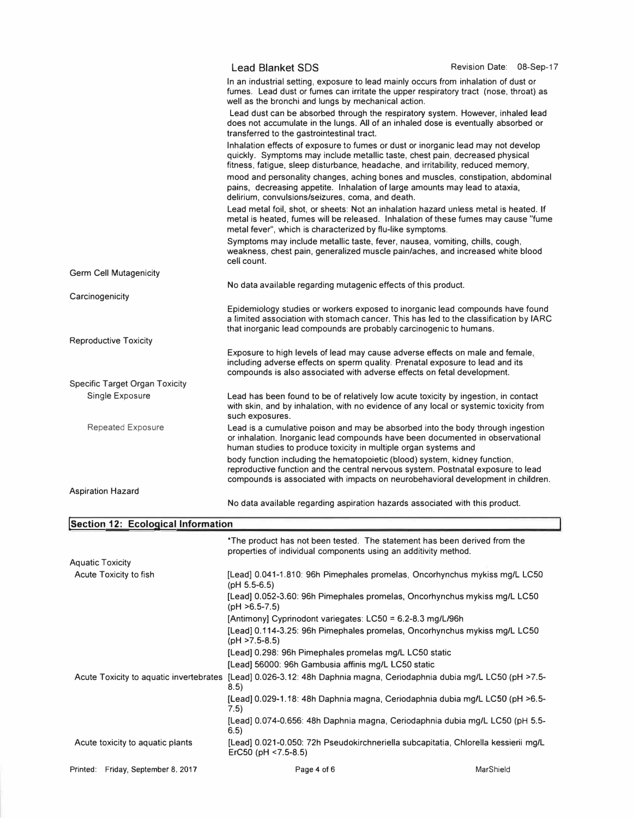|                                       | <b>Lead Blanket SDS</b>                                                                                                                                                                                                                               | Revision Date: 08-Sep-17                                                                                                                                                    |  |
|---------------------------------------|-------------------------------------------------------------------------------------------------------------------------------------------------------------------------------------------------------------------------------------------------------|-----------------------------------------------------------------------------------------------------------------------------------------------------------------------------|--|
|                                       | well as the bronchi and lungs by mechanical action.                                                                                                                                                                                                   | In an industrial setting, exposure to lead mainly occurs from inhalation of dust or<br>fumes. Lead dust or fumes can irritate the upper respiratory tract (nose, throat) as |  |
|                                       | Lead dust can be absorbed through the respiratory system. However, inhaled lead<br>does not accumulate in the lungs. All of an inhaled dose is eventually absorbed or<br>transferred to the gastrointestinal tract.                                   |                                                                                                                                                                             |  |
|                                       | Inhalation effects of exposure to fumes or dust or inorganic lead may not develop<br>quickly. Symptoms may include metallic taste, chest pain, decreased physical<br>fitness, fatigue, sleep disturbance, headache, and irritability, reduced memory, |                                                                                                                                                                             |  |
|                                       | mood and personality changes, aching bones and muscles, constipation, abdominal<br>pains, decreasing appetite. Inhalation of large amounts may lead to ataxia,<br>delirium, convulsions/seizures, coma, and death.                                    |                                                                                                                                                                             |  |
|                                       | Lead metal foil, shot, or sheets: Not an inhalation hazard unless metal is heated. If<br>metal is heated, fumes will be released. Inhalation of these fumes may cause "fume<br>metal fever", which is characterized by flu-like symptoms.             |                                                                                                                                                                             |  |
|                                       | Symptoms may include metallic taste, fever, nausea, vomiting, chills, cough,<br>weakness, chest pain, generalized muscle pain/aches, and increased white blood<br>cell count.                                                                         |                                                                                                                                                                             |  |
| <b>Germ Cell Mutagenicity</b>         |                                                                                                                                                                                                                                                       |                                                                                                                                                                             |  |
|                                       | No data available regarding mutagenic effects of this product.                                                                                                                                                                                        |                                                                                                                                                                             |  |
| Carcinogenicity                       |                                                                                                                                                                                                                                                       |                                                                                                                                                                             |  |
|                                       | Epidemiology studies or workers exposed to inorganic lead compounds have found<br>a limited association with stomach cancer. This has led to the classification by IARC<br>that inorganic lead compounds are probably carcinogenic to humans.         |                                                                                                                                                                             |  |
| <b>Reproductive Toxicity</b>          |                                                                                                                                                                                                                                                       |                                                                                                                                                                             |  |
|                                       | Exposure to high levels of lead may cause adverse effects on male and female,<br>including adverse effects on sperm quality. Prenatal exposure to lead and its<br>compounds is also associated with adverse effects on fetal development.             |                                                                                                                                                                             |  |
| <b>Specific Target Organ Toxicity</b> |                                                                                                                                                                                                                                                       |                                                                                                                                                                             |  |
| Single Exposure                       | Lead has been found to be of relatively low acute toxicity by ingestion, in contact<br>with skin, and by inhalation, with no evidence of any local or systemic toxicity from<br>such exposures.                                                       |                                                                                                                                                                             |  |
| <b>Repeated Exposure</b>              | Lead is a cumulative poison and may be absorbed into the body through ingestion<br>or inhalation. Inorganic lead compounds have been documented in observational<br>human studies to produce toxicity in multiple organ systems and                   |                                                                                                                                                                             |  |
|                                       | body function including the hematopoietic (blood) system, kidney function,<br>reproductive function and the central nervous system. Postnatal exposure to lead<br>compounds is associated with impacts on neurobehavioral development in children.    |                                                                                                                                                                             |  |
| <b>Aspiration Hazard</b>              |                                                                                                                                                                                                                                                       |                                                                                                                                                                             |  |
|                                       | No data available regarding aspiration hazards associated with this product.                                                                                                                                                                          |                                                                                                                                                                             |  |

# **lsection 12: Ecological Information**

|                                    | *The product has not been tested. The statement has been derived from the<br>properties of individual components using an additivity method. |           |
|------------------------------------|----------------------------------------------------------------------------------------------------------------------------------------------|-----------|
| <b>Aquatic Toxicity</b>            |                                                                                                                                              |           |
| Acute Toxicity to fish             | [Lead] 0.041-1.810: 96h Pimephales promelas, Oncorhynchus mykiss mg/L LC50<br>(pH $5.5-6.5$ )                                                |           |
|                                    | [Lead] 0.052-3.60: 96h Pimephales promelas, Oncorhynchus mykiss mg/L LC50<br>(pH $>6.5-7.5$ )                                                |           |
|                                    | [Antimony] Cyprinodont variegates: $LC50 = 6.2 - 8.3$ mg/L/96h                                                                               |           |
|                                    | [Lead] 0.114-3.25: 96h Pimephales promelas, Oncorhynchus mykiss mg/L LC50<br>$(pH > 7.5 - 8.5)$                                              |           |
|                                    | [Lead] 0.298: 96h Pimephales promelas mg/L LC50 static                                                                                       |           |
|                                    | [Lead] 56000: 96h Gambusia affinis mg/L LC50 static                                                                                          |           |
|                                    | Acute Toxicity to aquatic invertebrates [Lead] 0.026-3.12: 48h Daphnia magna, Ceriodaphnia dubia mg/L LC50 (pH >7.5-<br>8.5)                 |           |
|                                    | [Lead] 0.029-1.18: 48h Daphnia magna, Ceriodaphnia dubia mg/L LC50 (pH >6.5-<br>7.5)                                                         |           |
|                                    | [Lead] 0.074-0.656: 48h Daphnia magna, Ceriodaphnia dubia mg/L LC50 (pH 5.5-<br>6.5)                                                         |           |
| Acute toxicity to aquatic plants   | [Lead] 0.021-0.050: 72h Pseudokirchneriella subcapitatia, Chlorella kessierii mg/L<br>ErC50 (pH $<$ 7.5-8.5)                                 |           |
| Printed: Friday, September 8, 2017 | Page 4 of 6                                                                                                                                  | MarShield |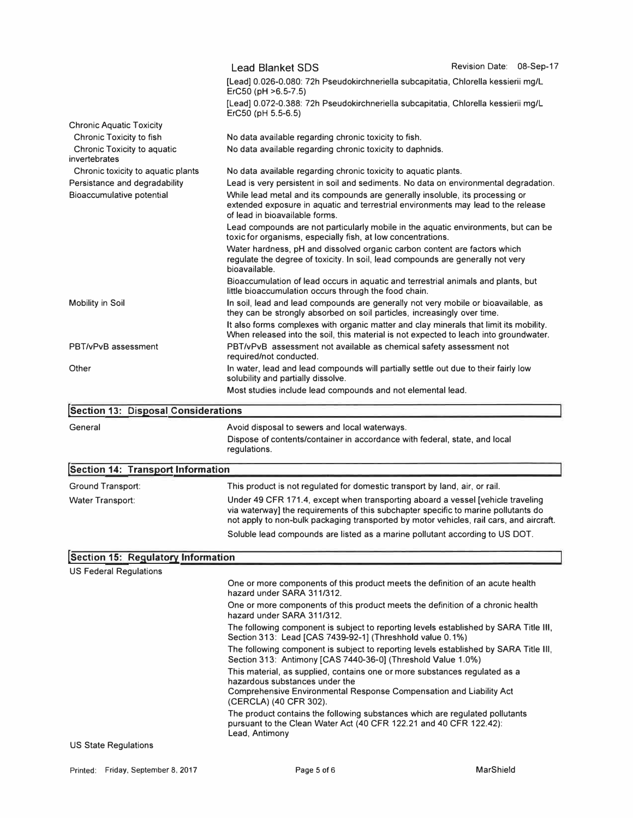|                                              | Revision Date: 08-Sep-17<br><b>Lead Blanket SDS</b>                                                                                                                                                                                                  |
|----------------------------------------------|------------------------------------------------------------------------------------------------------------------------------------------------------------------------------------------------------------------------------------------------------|
|                                              | [Lead] 0.026-0.080: 72h Pseudokirchneriella subcapitatia, Chlorella kessierii mg/L<br>ErC50 (pH >6.5-7.5)                                                                                                                                            |
|                                              | [Lead] 0.072-0.388: 72h Pseudokirchneriella subcapitatia, Chlorella kessierii mg/L<br>ErC50 (pH 5.5-6.5)                                                                                                                                             |
| <b>Chronic Aquatic Toxicity</b>              |                                                                                                                                                                                                                                                      |
| Chronic Toxicity to fish                     | No data available regarding chronic toxicity to fish.                                                                                                                                                                                                |
| Chronic Toxicity to aquatic<br>invertebrates | No data available regarding chronic toxicity to daphnids.                                                                                                                                                                                            |
| Chronic toxicity to aquatic plants           | No data available regarding chronic toxicity to aquatic plants.                                                                                                                                                                                      |
| Persistance and degradability                | Lead is very persistent in soil and sediments. No data on environmental degradation.                                                                                                                                                                 |
| Bioaccumulative potential                    | While lead metal and its compounds are generally insoluble, its processing or<br>extended exposure in aquatic and terrestrial environments may lead to the release<br>of lead in bioavailable forms.                                                 |
|                                              | Lead compounds are not particularly mobile in the aquatic environments, but can be<br>toxic for organisms, especially fish, at low concentrations.                                                                                                   |
|                                              | Water hardness, pH and dissolved organic carbon content are factors which<br>regulate the degree of toxicity. In soil, lead compounds are generally not very<br>bioavailable.                                                                        |
|                                              | Bioaccumulation of lead occurs in aquatic and terrestrial animals and plants, but                                                                                                                                                                    |
|                                              | little bioaccumulation occurs through the food chain.                                                                                                                                                                                                |
| <b>Mobility in Soil</b>                      | In soil, lead and lead compounds are generally not very mobile or bioavailable, as<br>they can be strongly absorbed on soil particles, increasingly over time.                                                                                       |
|                                              | It also forms complexes with organic matter and clay minerals that limit its mobility.<br>When released into the soil, this material is not expected to leach into groundwater.                                                                      |
| PBT/vPvB assessment                          | PBT/vPvB assessment not available as chemical safety assessment not<br>required/not conducted.                                                                                                                                                       |
| Other                                        | In water, lead and lead compounds will partially settle out due to their fairly low                                                                                                                                                                  |
|                                              | solubility and partially dissolve.                                                                                                                                                                                                                   |
|                                              | Most studies include lead compounds and not elemental lead.                                                                                                                                                                                          |
|                                              |                                                                                                                                                                                                                                                      |
| <b>Section 13: Disposal Considerations</b>   |                                                                                                                                                                                                                                                      |
| General                                      | Avoid disposal to sewers and local waterways.<br>Dispose of contents/container in accordance with federal, state, and local<br>regulations.                                                                                                          |
|                                              |                                                                                                                                                                                                                                                      |
| <b>Section 14: Transport Information</b>     |                                                                                                                                                                                                                                                      |
| <b>Ground Transport:</b><br>Water Transport: | This product is not regulated for domestic transport by land, air, or rail.<br>Under 49 CFR 171.4, except when transporting aboard a vessel [vehicle traveling<br>via waterway] the requirements of this subchapter specific to marine pollutants do |
|                                              | not apply to non-bulk packaging transported by motor vehicles, rail cars, and aircraft.                                                                                                                                                              |
|                                              | Soluble lead compounds are listed as a marine pollutant according to US DOT.                                                                                                                                                                         |
| Section 15: Regulatory Information           |                                                                                                                                                                                                                                                      |
| <b>US Federal Regulations</b>                |                                                                                                                                                                                                                                                      |
|                                              | One or more components of this product meets the definition of an acute health<br>hazard under SARA 311/312.                                                                                                                                         |
|                                              | One or more components of this product meets the definition of a chronic health<br>hazard under SARA 311/312.                                                                                                                                        |
|                                              | The following component is subject to reporting levels established by SARA Title III,<br>Section 313: Lead [CAS 7439-92-1] (Threshhold value 0.1%)                                                                                                   |
|                                              | The following component is subject to reporting levels established by SARA Title III,<br>Section 313: Antimony [CAS 7440-36-0] (Threshold Value 1.0%)                                                                                                |
|                                              | This material, as supplied, contains one or more substances regulated as a<br>hazardous substances under the                                                                                                                                         |
|                                              | Comprehensive Environmental Response Compensation and Liability Act<br>(CERCLA) (40 CFR 302).                                                                                                                                                        |
|                                              | The product contains the following substances which are regulated pollutants<br>pursuant to the Clean Water Act (40 CFR 122.21 and 40 CFR 122.42):<br>Lead, Antimony                                                                                 |